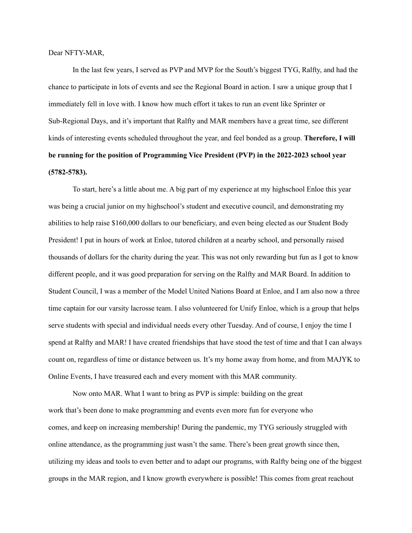## Dear NFTY-MAR,

In the last few years, I served as PVP and MVP for the South's biggest TYG, Ralfty, and had the chance to participate in lots of events and see the Regional Board in action. I saw a unique group that I immediately fell in love with. I know how much effort it takes to run an event like Sprinter or Sub-Regional Days, and it's important that Ralfty and MAR members have a great time, see different kinds of interesting events scheduled throughout the year, and feel bonded as a group. **Therefore, I will be running for the position of Programming Vice President (PVP) in the 2022-2023 school year (5782-5783).**

To start, here's a little about me. A big part of my experience at my highschool Enloe this year was being a crucial junior on my highschool's student and executive council, and demonstrating my abilities to help raise \$160,000 dollars to our beneficiary, and even being elected as our Student Body President! I put in hours of work at Enloe, tutored children at a nearby school, and personally raised thousands of dollars for the charity during the year. This was not only rewarding but fun as I got to know different people, and it was good preparation for serving on the Ralfty and MAR Board. In addition to Student Council, I was a member of the Model United Nations Board at Enloe, and I am also now a three time captain for our varsity lacrosse team. I also volunteered for Unify Enloe, which is a group that helps serve students with special and individual needs every other Tuesday. And of course, I enjoy the time I spend at Ralfty and MAR! I have created friendships that have stood the test of time and that I can always count on, regardless of time or distance between us. It's my home away from home, and from MAJYK to Online Events, I have treasured each and every moment with this MAR community.

Now onto MAR. What I want to bring as PVP is simple: building on the great work that's been done to make programming and events even more fun for everyone who comes, and keep on increasing membership! During the pandemic, my TYG seriously struggled with online attendance, as the programming just wasn't the same. There's been great growth since then, utilizing my ideas and tools to even better and to adapt our programs, with Ralfty being one of the biggest groups in the MAR region, and I know growth everywhere is possible! This comes from great reachout